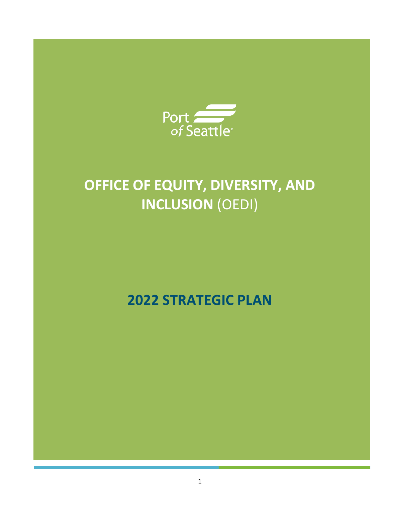

# **OFFICE OF EQUITY, DIVERSITY, AND INCLUSION** (OEDI)

**2022 STRATEGIC PLAN**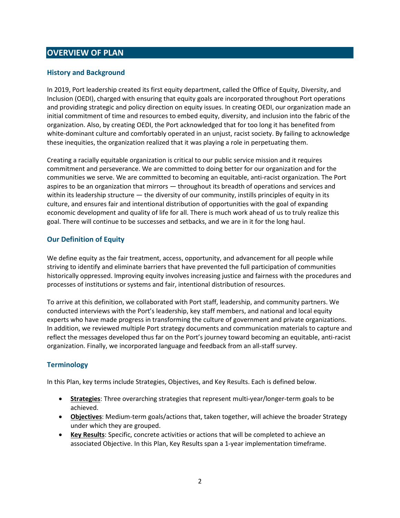### **OVERVIEW OF PLAN**

#### **History and Background**

In 2019, Port leadership created its first equity department, called the Office of Equity, Diversity, and Inclusion (OEDI), charged with ensuring that equity goals are incorporated throughout Port operations and providing strategic and policy direction on equity issues. In creating OEDI, our organization made an initial commitment of time and resources to embed equity, diversity, and inclusion into the fabric of the organization. Also, by creating OEDI, the Port acknowledged that for too long it has benefited from white-dominant culture and comfortably operated in an unjust, racist society. By failing to acknowledge these inequities, the organization realized that it was playing a role in perpetuating them.

Creating a racially equitable organization is critical to our public service mission and it requires commitment and perseverance. We are committed to doing better for our organization and for the communities we serve. We are committed to becoming an equitable, anti-racist organization. The Port aspires to be an organization that mirrors — throughout its breadth of operations and services and within its leadership structure — the diversity of our community, instills principles of equity in its culture, and ensures fair and intentional distribution of opportunities with the goal of expanding economic development and quality of life for all. There is much work ahead of us to truly realize this goal. There will continue to be successes and setbacks, and we are in it for the long haul.

#### **Our Definition of Equity**

We define equity as the fair treatment, access, opportunity, and advancement for all people while striving to identify and eliminate barriers that have prevented the full participation of communities historically oppressed. Improving equity involves increasing justice and fairness with the procedures and processes of institutions or systems and fair, intentional distribution of resources.

To arrive at this definition, we collaborated with Port staff, leadership, and community partners. We conducted interviews with the Port's leadership, key staff members, and national and local equity experts who have made progress in transforming the culture of government and private organizations. In addition, we reviewed multiple Port strategy documents and communication materials to capture and reflect the messages developed thus far on the Port's journey toward becoming an equitable, anti-racist organization. Finally, we incorporated language and feedback from an all-staff survey.

#### **Terminology**

In this Plan, key terms include Strategies, Objectives, and Key Results. Each is defined below.

- **Strategies**: Three overarching strategies that represent multi-year/longer-term goals to be achieved.
- **Objectives**: Medium-term goals/actions that, taken together, will achieve the broader Strategy under which they are grouped.
- **Key Results**: Specific, concrete activities or actions that will be completed to achieve an associated Objective. In this Plan, Key Results span a 1-year implementation timeframe.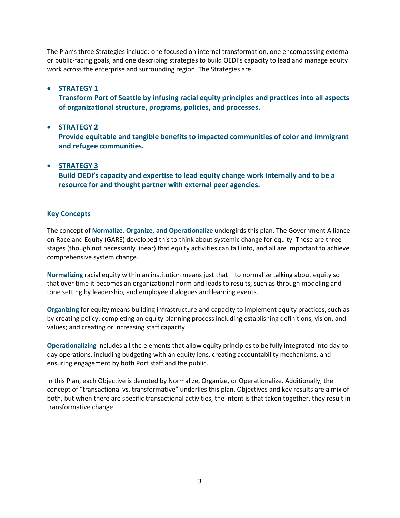The Plan's three Strategies include: one focused on internal transformation, one encompassing external or public-facing goals, and one describing strategies to build OEDI's capacity to lead and manage equity work across the enterprise and surrounding region. The Strategies are:

#### • **STRATEGY 1**

**Transform Port of Seattle by infusing racial equity principles and practices into all aspects of organizational structure, programs, policies, and processes.**

#### • **STRATEGY 2**

**Provide equitable and tangible benefits to impacted communities of color and immigrant and refugee communities.**

#### • **STRATEGY 3**

**Build OEDI's capacity and expertise to lead equity change work internally and to be a resource for and thought partner with external peer agencies.**

#### **Key Concepts**

The concept of **Normalize, Organize, and Operationalize** undergirds this plan. The Government Alliance on Race and Equity (GARE) developed this to think about systemic change for equity. These are three stages (though not necessarily linear) that equity activities can fall into, and all are important to achieve comprehensive system change.

**Normalizing** racial equity within an institution means just that – to normalize talking about equity so that over time it becomes an organizational norm and leads to results, such as through modeling and tone setting by leadership, and employee dialogues and learning events.

**Organizing** for equity means building infrastructure and capacity to implement equity practices, such as by creating policy; completing an equity planning process including establishing definitions, vision, and values; and creating or increasing staff capacity.

**Operationalizing** includes all the elements that allow equity principles to be fully integrated into day-today operations, including budgeting with an equity lens, creating accountability mechanisms, and ensuring engagement by both Port staff and the public.

In this Plan, each Objective is denoted by Normalize, Organize, or Operationalize. Additionally, the concept of "transactional vs. transformative" underlies this plan. Objectives and key results are a mix of both, but when there are specific transactional activities, the intent is that taken together, they result in transformative change.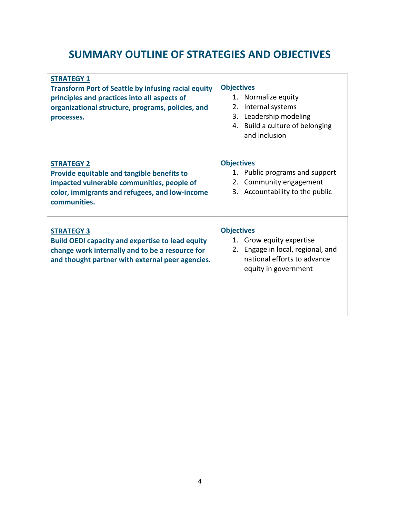## **SUMMARY OUTLINE OF STRATEGIES AND OBJECTIVES**

| <b>STRATEGY 1</b><br><b>Transform Port of Seattle by infusing racial equity</b><br>principles and practices into all aspects of<br>organizational structure, programs, policies, and<br>processes. | <b>Objectives</b><br>1. Normalize equity<br>Internal systems<br>2.<br>3. Leadership modeling<br>4. Build a culture of belonging<br>and inclusion |
|----------------------------------------------------------------------------------------------------------------------------------------------------------------------------------------------------|--------------------------------------------------------------------------------------------------------------------------------------------------|
| <b>STRATEGY 2</b><br>Provide equitable and tangible benefits to<br>impacted vulnerable communities, people of<br>color, immigrants and refugees, and low-income<br>communities.                    | <b>Objectives</b><br>1. Public programs and support<br>2. Community engagement<br>3. Accountability to the public                                |
| <b>STRATEGY 3</b><br><b>Build OEDI capacity and expertise to lead equity</b><br>change work internally and to be a resource for<br>and thought partner with external peer agencies.                | <b>Objectives</b><br>1. Grow equity expertise<br>2. Engage in local, regional, and<br>national efforts to advance<br>equity in government        |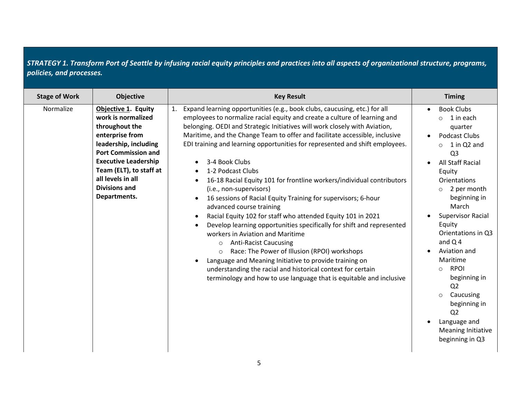| <b>Stage of Work</b><br><b>Objective</b>                                                                                                                                                                                                                                  | <b>Key Result</b>                                                                                                                                                                                                                                                                                                                                                                                                                                                                                                                                                                                                                                                                                                                                                                                                                                                                                                                                                                                                                                                                                                             | <b>Timing</b>                                                                                                                                                                                                                                                                                                                                                                                                                                                                                                           |
|---------------------------------------------------------------------------------------------------------------------------------------------------------------------------------------------------------------------------------------------------------------------------|-------------------------------------------------------------------------------------------------------------------------------------------------------------------------------------------------------------------------------------------------------------------------------------------------------------------------------------------------------------------------------------------------------------------------------------------------------------------------------------------------------------------------------------------------------------------------------------------------------------------------------------------------------------------------------------------------------------------------------------------------------------------------------------------------------------------------------------------------------------------------------------------------------------------------------------------------------------------------------------------------------------------------------------------------------------------------------------------------------------------------------|-------------------------------------------------------------------------------------------------------------------------------------------------------------------------------------------------------------------------------------------------------------------------------------------------------------------------------------------------------------------------------------------------------------------------------------------------------------------------------------------------------------------------|
| Normalize<br>Objective 1. Equity<br>work is normalized<br>throughout the<br>enterprise from<br>leadership, including<br><b>Port Commission and</b><br><b>Executive Leadership</b><br>Team (ELT), to staff at<br>all levels in all<br><b>Divisions and</b><br>Departments. | Expand learning opportunities (e.g., book clubs, caucusing, etc.) for all<br>employees to normalize racial equity and create a culture of learning and<br>belonging. OEDI and Strategic Initiatives will work closely with Aviation,<br>Maritime, and the Change Team to offer and facilitate accessible, inclusive<br>EDI training and learning opportunities for represented and shift employees.<br>3-4 Book Clubs<br>1-2 Podcast Clubs<br>16-18 Racial Equity 101 for frontline workers/individual contributors<br>(i.e., non-supervisors)<br>16 sessions of Racial Equity Training for supervisors; 6-hour<br>advanced course training<br>Racial Equity 102 for staff who attended Equity 101 in 2021<br>Develop learning opportunities specifically for shift and represented<br>workers in Aviation and Maritime<br><b>Anti-Racist Caucusing</b><br>$\circ$<br>Race: The Power of Illusion (RPOI) workshops<br>$\circ$<br>Language and Meaning Initiative to provide training on<br>understanding the racial and historical context for certain<br>terminology and how to use language that is equitable and inclusive | <b>Book Clubs</b><br>1 in each<br>$\circ$<br>quarter<br>Podcast Clubs<br>1 in Q2 and<br>$\circ$<br>Q <sub>3</sub><br>All Staff Racial<br>Equity<br><b>Orientations</b><br>2 per month<br>$\circ$<br>beginning in<br>March<br><b>Supervisor Racial</b><br>Equity<br>Orientations in Q3<br>and $Q$ 4<br>Aviation and<br>Maritime<br><b>RPOI</b><br>$\bigcirc$<br>beginning in<br>Q <sub>2</sub><br>Caucusing<br>$\circ$<br>beginning in<br>Q <sub>2</sub><br>Language and<br><b>Meaning Initiative</b><br>beginning in Q3 |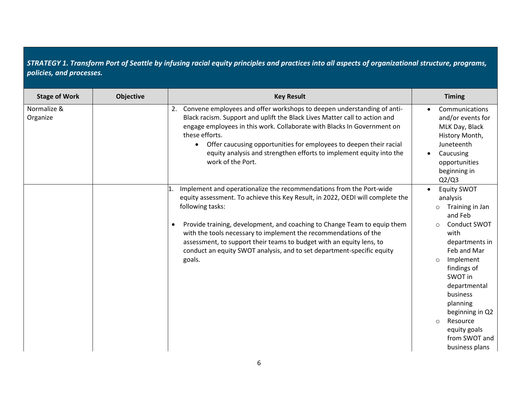| <b>Stage of Work</b>    | <b>Objective</b> | <b>Key Result</b>                                                                                                                                                                                                                                                                                                                                                                                                                                                                                  | <b>Timing</b>                                                                                                                                                                                                                                                                                                                               |
|-------------------------|------------------|----------------------------------------------------------------------------------------------------------------------------------------------------------------------------------------------------------------------------------------------------------------------------------------------------------------------------------------------------------------------------------------------------------------------------------------------------------------------------------------------------|---------------------------------------------------------------------------------------------------------------------------------------------------------------------------------------------------------------------------------------------------------------------------------------------------------------------------------------------|
| Normalize &<br>Organize |                  | Convene employees and offer workshops to deepen understanding of anti-<br>2.<br>Black racism. Support and uplift the Black Lives Matter call to action and<br>engage employees in this work. Collaborate with Blacks In Government on<br>these efforts.<br>Offer caucusing opportunities for employees to deepen their racial<br>$\bullet$<br>equity analysis and strengthen efforts to implement equity into the<br>work of the Port.                                                             | Communications<br>and/or events for<br>MLK Day, Black<br>History Month,<br>Juneteenth<br>Caucusing<br>opportunities<br>beginning in<br>Q2/Q3                                                                                                                                                                                                |
|                         |                  | Implement and operationalize the recommendations from the Port-wide<br>equity assessment. To achieve this Key Result, in 2022, OEDI will complete the<br>following tasks:<br>Provide training, development, and coaching to Change Team to equip them<br>$\bullet$<br>with the tools necessary to implement the recommendations of the<br>assessment, to support their teams to budget with an equity lens, to<br>conduct an equity SWOT analysis, and to set department-specific equity<br>goals. | <b>Equity SWOT</b><br>analysis<br>Training in Jan<br>$\circ$<br>and Feb<br><b>Conduct SWOT</b><br>$\Omega$<br>with<br>departments in<br>Feb and Mar<br>Implement<br>$\Omega$<br>findings of<br>SWOT in<br>departmental<br>business<br>planning<br>beginning in Q2<br>Resource<br>$\circ$<br>equity goals<br>from SWOT and<br>business plans |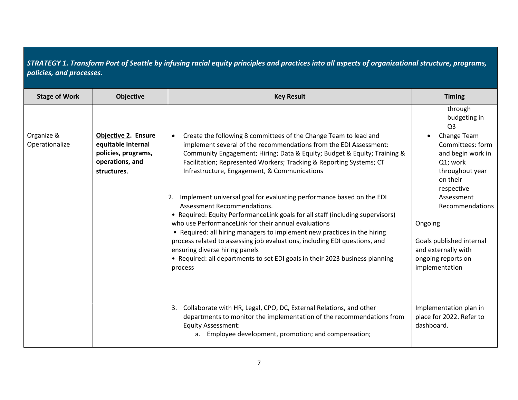| <b>Stage of Work</b>         | <b>Objective</b>                                                                                          | <b>Key Result</b>                                                                                                                                                                                                                                                                                                                                                                                                                                                                                                                       | <b>Timing</b>                                                                                                                       |
|------------------------------|-----------------------------------------------------------------------------------------------------------|-----------------------------------------------------------------------------------------------------------------------------------------------------------------------------------------------------------------------------------------------------------------------------------------------------------------------------------------------------------------------------------------------------------------------------------------------------------------------------------------------------------------------------------------|-------------------------------------------------------------------------------------------------------------------------------------|
|                              |                                                                                                           |                                                                                                                                                                                                                                                                                                                                                                                                                                                                                                                                         | through<br>budgeting in<br>Q <sub>3</sub>                                                                                           |
| Organize &<br>Operationalize | <b>Objective 2. Ensure</b><br>equitable internal<br>policies, programs,<br>operations, and<br>structures. | Create the following 8 committees of the Change Team to lead and<br>$\bullet$<br>implement several of the recommendations from the EDI Assessment:<br>Community Engagement; Hiring; Data & Equity; Budget & Equity; Training &<br>Facilitation; Represented Workers; Tracking & Reporting Systems; CT<br>Infrastructure, Engagement, & Communications                                                                                                                                                                                   | Change Team<br>Committees: form<br>and begin work in<br>Q1; work<br>throughout year<br>on their<br>respective                       |
|                              |                                                                                                           | 2. Implement universal goal for evaluating performance based on the EDI<br>Assessment Recommendations.<br>• Required: Equity PerformanceLink goals for all staff (including supervisors)<br>who use PerformanceLink for their annual evaluations<br>• Required: all hiring managers to implement new practices in the hiring<br>process related to assessing job evaluations, including EDI questions, and<br>ensuring diverse hiring panels<br>• Required: all departments to set EDI goals in their 2023 business planning<br>process | Assessment<br>Recommendations<br>Ongoing<br>Goals published internal<br>and externally with<br>ongoing reports on<br>implementation |
|                              |                                                                                                           | Collaborate with HR, Legal, CPO, DC, External Relations, and other<br>3.<br>departments to monitor the implementation of the recommendations from<br><b>Equity Assessment:</b><br>a. Employee development, promotion; and compensation;                                                                                                                                                                                                                                                                                                 | Implementation plan in<br>place for 2022. Refer to<br>dashboard.                                                                    |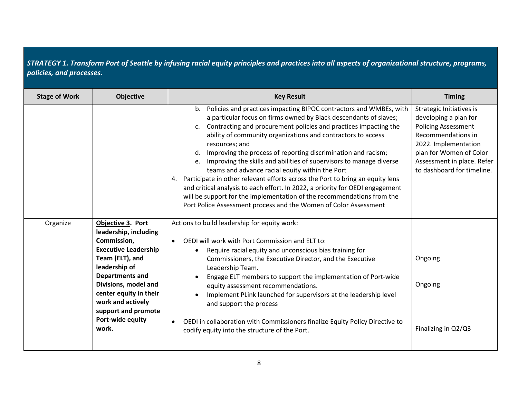| <b>Stage of Work</b> | Objective                                                                                                                                                                                                                                                                         | <b>Key Result</b>                                                                                                                                                                                                                                                                                                                                                                                                                                                                                                                                                                                                                                                                                                                                                                                                          | <b>Timing</b>                                                                                                                                                                                                               |
|----------------------|-----------------------------------------------------------------------------------------------------------------------------------------------------------------------------------------------------------------------------------------------------------------------------------|----------------------------------------------------------------------------------------------------------------------------------------------------------------------------------------------------------------------------------------------------------------------------------------------------------------------------------------------------------------------------------------------------------------------------------------------------------------------------------------------------------------------------------------------------------------------------------------------------------------------------------------------------------------------------------------------------------------------------------------------------------------------------------------------------------------------------|-----------------------------------------------------------------------------------------------------------------------------------------------------------------------------------------------------------------------------|
|                      |                                                                                                                                                                                                                                                                                   | Policies and practices impacting BIPOC contractors and WMBEs, with<br>b.<br>a particular focus on firms owned by Black descendants of slaves;<br>c. Contracting and procurement policies and practices impacting the<br>ability of community organizations and contractors to access<br>resources; and<br>d. Improving the process of reporting discrimination and racism;<br>e. Improving the skills and abilities of supervisors to manage diverse<br>teams and advance racial equity within the Port<br>4. Participate in other relevant efforts across the Port to bring an equity lens<br>and critical analysis to each effort. In 2022, a priority for OEDI engagement<br>will be support for the implementation of the recommendations from the<br>Port Police Assessment process and the Women of Color Assessment | <b>Strategic Initiatives is</b><br>developing a plan for<br><b>Policing Assessment</b><br>Recommendations in<br>2022. Implementation<br>plan for Women of Color<br>Assessment in place. Refer<br>to dashboard for timeline. |
| Organize             | Objective 3. Port<br>leadership, including<br>Commission,<br><b>Executive Leadership</b><br>Team (ELT), and<br>leadership of<br><b>Departments and</b><br>Divisions, model and<br>center equity in their<br>work and actively<br>support and promote<br>Port-wide equity<br>work. | Actions to build leadership for equity work:<br>OEDI will work with Port Commission and ELT to:<br>$\bullet$<br>Require racial equity and unconscious bias training for<br>$\bullet$<br>Commissioners, the Executive Director, and the Executive<br>Leadership Team.<br>Engage ELT members to support the implementation of Port-wide<br>equity assessment recommendations.<br>Implement PLink launched for supervisors at the leadership level<br>and support the process<br>OEDI in collaboration with Commissioners finalize Equity Policy Directive to<br>$\bullet$<br>codify equity into the structure of the Port.                                                                                                                                                                                                   | Ongoing<br>Ongoing<br>Finalizing in Q2/Q3                                                                                                                                                                                   |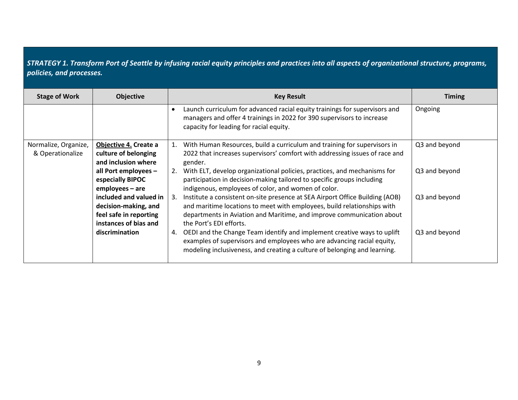| <b>Stage of Work</b>                     | <b>Objective</b>                                                                                  | <b>Key Result</b>                                                                                                                                                                                                                                              | <b>Timing</b> |
|------------------------------------------|---------------------------------------------------------------------------------------------------|----------------------------------------------------------------------------------------------------------------------------------------------------------------------------------------------------------------------------------------------------------------|---------------|
|                                          |                                                                                                   | Launch curriculum for advanced racial equity trainings for supervisors and<br>managers and offer 4 trainings in 2022 for 390 supervisors to increase<br>capacity for leading for racial equity.                                                                | Ongoing       |
| Normalize, Organize,<br>& Operationalize | Objective 4. Create a<br>culture of belonging<br>and inclusion where                              | With Human Resources, build a curriculum and training for supervisors in<br>2022 that increases supervisors' comfort with addressing issues of race and<br>gender.                                                                                             | Q3 and beyond |
|                                          | all Port employees -<br>especially BIPOC<br>employees - are                                       | 2. With ELT, develop organizational policies, practices, and mechanisms for<br>participation in decision-making tailored to specific groups including<br>indigenous, employees of color, and women of color.                                                   | Q3 and beyond |
|                                          | included and valued in<br>decision-making, and<br>feel safe in reporting<br>instances of bias and | 3. Institute a consistent on-site presence at SEA Airport Office Building (AOB)<br>and maritime locations to meet with employees, build relationships with<br>departments in Aviation and Maritime, and improve communication about<br>the Port's EDI efforts. | Q3 and beyond |
|                                          | discrimination                                                                                    | OEDI and the Change Team identify and implement creative ways to uplift<br>4.<br>examples of supervisors and employees who are advancing racial equity,<br>modeling inclusiveness, and creating a culture of belonging and learning.                           | Q3 and beyond |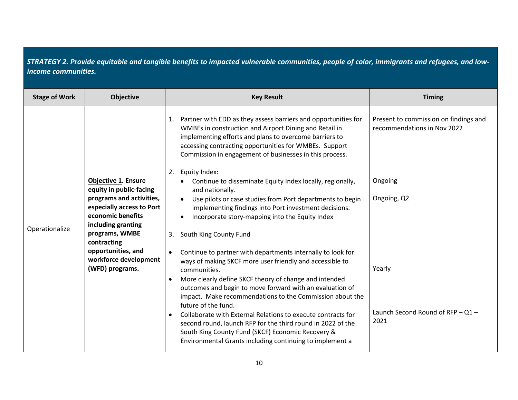*STRATEGY 2. Provide equitable and tangible benefits to impacted vulnerable communities, people of color, immigrants and refugees, and lowincome communities.*

| <b>Stage of Work</b> | <b>Objective</b>                                                                                                            | <b>Key Result</b>                                                                                                                                                                                                                                                                                                                                                                                 | <b>Timing</b>                                                                   |
|----------------------|-----------------------------------------------------------------------------------------------------------------------------|---------------------------------------------------------------------------------------------------------------------------------------------------------------------------------------------------------------------------------------------------------------------------------------------------------------------------------------------------------------------------------------------------|---------------------------------------------------------------------------------|
|                      | <b>Objective 1. Ensure</b>                                                                                                  | Partner with EDD as they assess barriers and opportunities for<br>1.<br>WMBEs in construction and Airport Dining and Retail in<br>implementing efforts and plans to overcome barriers to<br>accessing contracting opportunities for WMBEs. Support<br>Commission in engagement of businesses in this process.<br>Equity Index:<br>2.<br>Continue to disseminate Equity Index locally, regionally, | Present to commission on findings and<br>recommendations in Nov 2022<br>Ongoing |
|                      | equity in public-facing<br>programs and activities,<br>especially access to Port<br>economic benefits<br>including granting | and nationally.<br>Use pilots or case studies from Port departments to begin<br>implementing findings into Port investment decisions.<br>Incorporate story-mapping into the Equity Index                                                                                                                                                                                                          | Ongoing, Q2                                                                     |
| Operationalize       | programs, WMBE<br>contracting                                                                                               | South King County Fund<br>3.                                                                                                                                                                                                                                                                                                                                                                      |                                                                                 |
|                      | opportunities, and<br>workforce development<br>(WFD) programs.                                                              | Continue to partner with departments internally to look for<br>ways of making SKCF more user friendly and accessible to<br>communities.                                                                                                                                                                                                                                                           | Yearly                                                                          |
|                      |                                                                                                                             | More clearly define SKCF theory of change and intended<br>outcomes and begin to move forward with an evaluation of<br>impact. Make recommendations to the Commission about the<br>future of the fund.                                                                                                                                                                                             |                                                                                 |
|                      |                                                                                                                             | Collaborate with External Relations to execute contracts for<br>second round, launch RFP for the third round in 2022 of the<br>South King County Fund (SKCF) Economic Recovery &<br>Environmental Grants including continuing to implement a                                                                                                                                                      | Launch Second Round of RFP - Q1 -<br>2021                                       |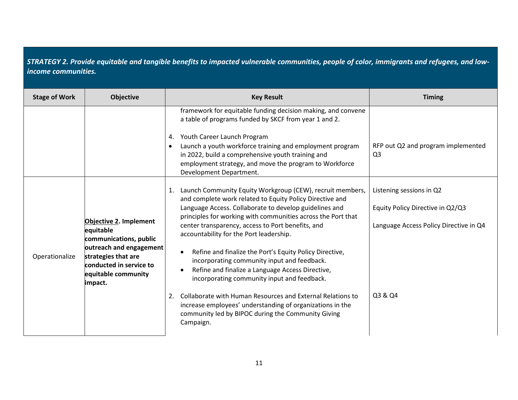*STRATEGY 2. Provide equitable and tangible benefits to impacted vulnerable communities, people of color, immigrants and refugees, and lowincome communities.*

| <b>Stage of Work</b> | <b>Objective</b>                                                                                                                                                             | <b>Key Result</b>                                                                                                                                                                                                                                                                                                                                                                                                                                                                                                                                                                                                                                                                                                                                                                   | <b>Timing</b>                                                                                                     |
|----------------------|------------------------------------------------------------------------------------------------------------------------------------------------------------------------------|-------------------------------------------------------------------------------------------------------------------------------------------------------------------------------------------------------------------------------------------------------------------------------------------------------------------------------------------------------------------------------------------------------------------------------------------------------------------------------------------------------------------------------------------------------------------------------------------------------------------------------------------------------------------------------------------------------------------------------------------------------------------------------------|-------------------------------------------------------------------------------------------------------------------|
|                      |                                                                                                                                                                              | framework for equitable funding decision making, and convene<br>a table of programs funded by SKCF from year 1 and 2.<br>4. Youth Career Launch Program<br>Launch a youth workforce training and employment program<br>in 2022, build a comprehensive youth training and<br>employment strategy, and move the program to Workforce<br>Development Department.                                                                                                                                                                                                                                                                                                                                                                                                                       | RFP out Q2 and program implemented<br>Q <sub>3</sub>                                                              |
| Operationalize       | Objective 2. Implement<br>equitable<br>communications, public<br>outreach and engagement<br>strategies that are<br>conducted in service to<br>equitable community<br>impact. | Launch Community Equity Workgroup (CEW), recruit members,<br>1.<br>and complete work related to Equity Policy Directive and<br>Language Access. Collaborate to develop guidelines and<br>principles for working with communities across the Port that<br>center transparency, access to Port benefits, and<br>accountability for the Port leadership.<br>Refine and finalize the Port's Equity Policy Directive,<br>$\bullet$<br>incorporating community input and feedback.<br>Refine and finalize a Language Access Directive,<br>incorporating community input and feedback.<br>Collaborate with Human Resources and External Relations to<br>2.<br>increase employees' understanding of organizations in the<br>community led by BIPOC during the Community Giving<br>Campaign. | Listening sessions in Q2<br>Equity Policy Directive in Q2/Q3<br>Language Access Policy Directive in Q4<br>Q3 & Q4 |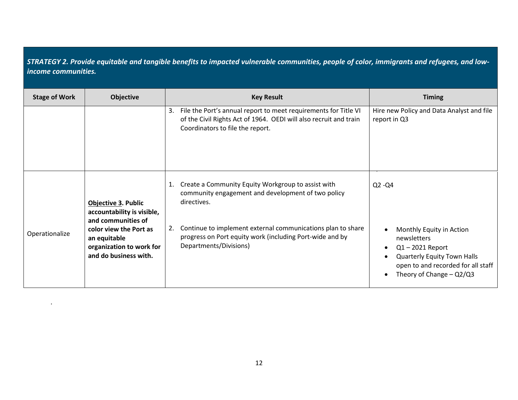*STRATEGY 2. Provide equitable and tangible benefits to impacted vulnerable communities, people of color, immigrants and refugees, and lowincome communities.*

| <b>Stage of Work</b> | <b>Objective</b>                                                                                                                                                              | <b>Key Result</b>                                                                                                                                                                                                                                                                  | <b>Timing</b>                                                                                                                                                                        |
|----------------------|-------------------------------------------------------------------------------------------------------------------------------------------------------------------------------|------------------------------------------------------------------------------------------------------------------------------------------------------------------------------------------------------------------------------------------------------------------------------------|--------------------------------------------------------------------------------------------------------------------------------------------------------------------------------------|
|                      |                                                                                                                                                                               | File the Port's annual report to meet requirements for Title VI<br>3.<br>of the Civil Rights Act of 1964. OEDI will also recruit and train<br>Coordinators to file the report.                                                                                                     | Hire new Policy and Data Analyst and file<br>report in Q3                                                                                                                            |
| Operationalize       | <b>Objective 3. Public</b><br>accountability is visible,<br>and communities of<br>color view the Port as<br>an equitable<br>organization to work for<br>and do business with. | Create a Community Equity Workgroup to assist with<br>1.<br>community engagement and development of two policy<br>directives.<br>Continue to implement external communications plan to share<br>progress on Port equity work (including Port-wide and by<br>Departments/Divisions) | $Q2 - Q4$<br>Monthly Equity in Action<br>newsletters<br>$Q1 - 2021$ Report<br><b>Quarterly Equity Town Halls</b><br>open to and recorded for all staff<br>Theory of Change $-$ Q2/Q3 |

 $\bullet$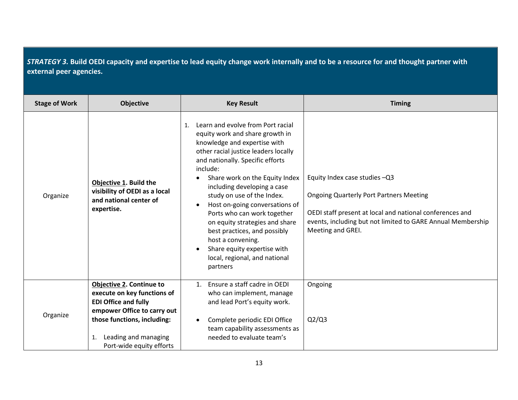*STRATEGY 3.* **Build OEDI capacity and expertise to lead equity change work internally and to be a resource for and thought partner with external peer agencies.**

| <b>Stage of Work</b> | <b>Objective</b>                                                                                                                                            | <b>Key Result</b>                                                                                                                                                                                                                                                                                                                                                                                                                                                                                                                                                           | <b>Timing</b>                                                                                                                                                                                                                   |
|----------------------|-------------------------------------------------------------------------------------------------------------------------------------------------------------|-----------------------------------------------------------------------------------------------------------------------------------------------------------------------------------------------------------------------------------------------------------------------------------------------------------------------------------------------------------------------------------------------------------------------------------------------------------------------------------------------------------------------------------------------------------------------------|---------------------------------------------------------------------------------------------------------------------------------------------------------------------------------------------------------------------------------|
| Organize             | Objective 1. Build the<br>visibility of OEDI as a local<br>and national center of<br>expertise.                                                             | Learn and evolve from Port racial<br>$\mathbf{1}$ .<br>equity work and share growth in<br>knowledge and expertise with<br>other racial justice leaders locally<br>and nationally. Specific efforts<br>include:<br>Share work on the Equity Index<br>$\bullet$<br>including developing a case<br>study on use of the Index.<br>Host on-going conversations of<br>$\bullet$<br>Ports who can work together<br>on equity strategies and share<br>best practices, and possibly<br>host a convening.<br>Share equity expertise with<br>local, regional, and national<br>partners | Equity Index case studies -Q3<br><b>Ongoing Quarterly Port Partners Meeting</b><br>OEDI staff present at local and national conferences and<br>events, including but not limited to GARE Annual Membership<br>Meeting and GREI. |
| Organize             | <b>Objective 2. Continue to</b><br>execute on key functions of<br><b>EDI Office and fully</b><br>empower Office to carry out<br>those functions, including: | 1. Ensure a staff cadre in OEDI<br>who can implement, manage<br>and lead Port's equity work.<br>Complete periodic EDI Office<br>$\bullet$<br>team capability assessments as                                                                                                                                                                                                                                                                                                                                                                                                 | Ongoing<br>Q2/Q3                                                                                                                                                                                                                |
|                      | Leading and managing<br>1.<br>Port-wide equity efforts                                                                                                      | needed to evaluate team's                                                                                                                                                                                                                                                                                                                                                                                                                                                                                                                                                   |                                                                                                                                                                                                                                 |